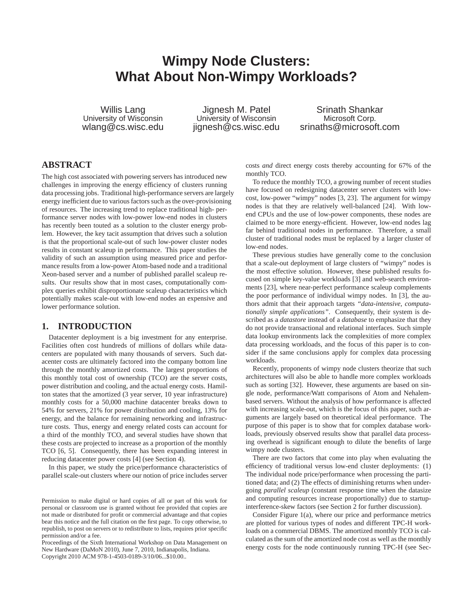# **Wimpy Node Clusters: What About Non-Wimpy Workloads?**

Willis Lang University of Wisconsin wlang@cs.wisc.edu

Jignesh M. Patel University of Wisconsin jignesh@cs.wisc.edu

Srinath Shankar Microsoft Corp. srinaths@microsoft.com

# **ABSTRACT**

The high cost associated with powering servers has introduced new challenges in improving the energy efficiency of clusters running data processing jobs. Traditional high-performance servers are largely energy inefficient due to various factors such as the over-provisioning of resources. The increasing trend to replace traditional high- performance server nodes with low-power low-end nodes in clusters has recently been touted as a solution to the cluster energy problem. However, the key tacit assumption that drives such a solution is that the proportional scale-out of such low-power cluster nodes results in constant scaleup in performance. This paper studies the validity of such an assumption using measured price and performance results from a low-power Atom-based node and a traditional Xeon-based server and a number of published parallel scaleup results. Our results show that in most cases, computationally complex queries exhibit disproportionate scaleup characteristics which potentially makes scale-out with low-end nodes an expensive and lower performance solution.

## **1. INTRODUCTION**

Datacenter deployment is a big investment for any enterprise. Facilities often cost hundreds of millions of dollars while datacenters are populated with many thousands of servers. Such datacenter costs are ultimately factored into the company bottom line through the monthly amortized costs. The largest proportions of this monthly total cost of ownership (TCO) are the server costs, power distribution and cooling, and the actual energy costs. Hamilton states that the amortized (3 year server, 10 year infrastructure) monthly costs for a 50,000 machine datacenter breaks down to 54% for servers, 21% for power distribution and cooling, 13% for energy, and the balance for remaining networking and infrastructure costs. Thus, energy and energy related costs can account for a third of the monthly TCO, and several studies have shown that these costs are projected to increase as a proportion of the monthly TCO [6, 5]. Consequently, there has been expanding interest in reducing datacenter power costs [4] (see Section 4).

In this paper, we study the price/performance characteristics of parallel scale-out clusters where our notion of price includes server costs *and* direct energy costs thereby accounting for 67% of the monthly TCO.

To reduce the monthly TCO, a growing number of recent studies have focused on redesigning datacenter server clusters with lowcost, low-power "wimpy" nodes [3, 23]. The argument for wimpy nodes is that they are relatively well-balanced [24]. With lowend CPUs and the use of low-power components, these nodes are claimed to be more energy-efficient. However, low-end nodes lag far behind traditional nodes in performance. Therefore, a small cluster of traditional nodes must be replaced by a larger cluster of low-end nodes.

These previous studies have generally come to the conclusion that a scale-out deployment of large clusters of "wimpy" nodes is the most effective solution. However, these published results focused on simple key-value workloads [3] and web-search environments [23], where near-perfect performance scaleup complements the poor performance of individual wimpy nodes. In [3], the authors admit that their approach targets *"data-intensive, computationally simple applications"*. Consequently, their system is described as a *datastore* instead of a *database* to emphasize that they do not provide transactional and relational interfaces. Such simple data lookup environments lack the complexities of more complex data processing workloads, and the focus of this paper is to consider if the same conclusions apply for complex data processing workloads.

Recently, proponents of wimpy node clusters theorize that such architectures will also be able to handle more complex workloads such as sorting [32]. However, these arguments are based on single node, performance/Watt comparisons of Atom and Nehalembased servers. Without the analysis of how performance is affected with increasing scale-out, which is the focus of this paper, such arguments are largely based on theoretical ideal performance. The purpose of this paper is to show that for complex database workloads, previously observed results show that parallel data processing overhead is significant enough to dilute the benefits of large wimpy node clusters.

There are two factors that come into play when evaluating the efficiency of traditional versus low-end cluster deployments: (1) The individual node price/performance when processing the partitioned data; and (2) The effects of diminishing returns when undergoing *parallel scaleup* (constant response time when the datasize and computing resources increase proportionally) due to startupinterference-skew factors (see Section 2 for further discussion).

Consider Figure 1(a), where our price and performance metrics are plotted for various types of nodes and different TPC-H workloads on a commercial DBMS. The amortized monthly TCO is calculated as the sum of the amortized node cost as well as the monthly energy costs for the node continuously running TPC-H (see Sec-

Permission to make digital or hard copies of all or part of this work for personal or classroom use is granted without fee provided that copies are not made or distributed for profit or commercial advantage and that copies bear this notice and the full citation on the first page. To copy otherwise, to republish, to post on servers or to redistribute to lists, requires prior specific permission and/or a fee.

Proceedings of the Sixth International Workshop on Data Management on New Hardware (DaMoN 2010), June 7, 2010, Indianapolis, Indiana. Copyright 2010 ACM 978-1-4503-0189-3/10/06...\$10.00..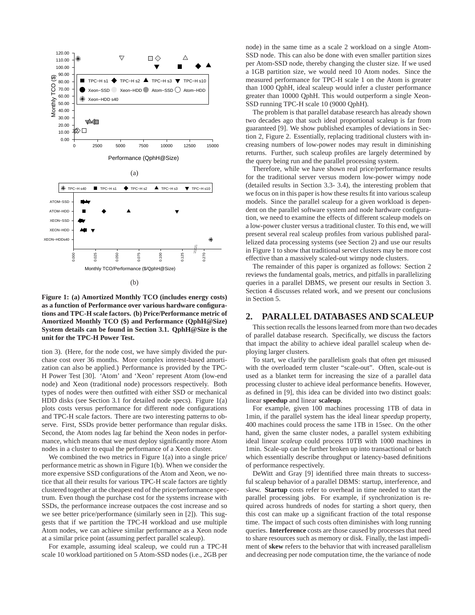

**Figure 1: (a) Amortized Monthly TCO (includes energy costs) as a function of Performance over various hardware configurations and TPC-H scale factors. (b) Price/Performance metric of Amortized Monthly TCO (\$) and Performance (QphH@Size) System details can be found in Section 3.1. QphH@Size is the unit for the TPC-H Power Test.**

tion 3). (Here, for the node cost, we have simply divided the purchase cost over 36 months. More complex interest-based amortization can also be applied.) Performance is provided by the TPC-H Power Test [30]. 'Atom' and 'Xeon' represent Atom (low-end node) and Xeon (traditional node) processors respectively. Both types of nodes were then outfitted with either SSD or mechanical HDD disks (see Section 3.1 for detailed node specs). Figure 1(a) plots costs versus performance for different node configurations and TPC-H scale factors. There are two interesting patterns to observe. First, SSDs provide better performance than regular disks. Second, the Atom nodes lag far behind the Xeon nodes in performance, which means that we must deploy significantly more Atom nodes in a cluster to equal the performance of a Xeon cluster.

We combined the two metrics in Figure 1(a) into a single price/ performance metric as shown in Figure 1(b). When we consider the more expensive SSD configurations of the Atom and Xeon, we notice that all their results for various TPC-H scale factors are tightly clustered together at the cheapest end of the price/performance spectrum. Even though the purchase cost for the systems increase with SSDs, the performance increase outpaces the cost increase and so we see better price/performance (similarly seen in [2]). This suggests that if we partition the TPC-H workload and use multiple Atom nodes, we can achieve similar performance as a Xeon node at a similar price point (assuming perfect parallel scaleup).

For example, assuming ideal scaleup, we could run a TPC-H scale 10 workload partitioned on 5 Atom-SSD nodes (i.e., 2GB per node) in the same time as a scale 2 workload on a single Atom-SSD node. This can also be done with even smaller partition sizes per Atom-SSD node, thereby changing the cluster size. If we used a 1GB partition size, we would need 10 Atom nodes. Since the measured performance for TPC-H scale 1 on the Atom is greater than 1000 QphH, ideal scaleup would infer a cluster performance greater than 10000 QphH. This would outperform a single Xeon-SSD running TPC-H scale 10 (9000 QphH).

The problem is that parallel database research has already shown two decades ago that such ideal proportional scaleup is far from guaranteed [9]. We show published examples of deviations in Section 2, Figure 2. Essentially, replacing traditional clusters with increasing numbers of low-power nodes may result in diminishing returns. Further, such scaleup profiles are largely determined by the query being run and the parallel processing system.

Therefore, while we have shown real price/performance results for the traditional server versus modern low-power wimpy node (detailed results in Section 3.3- 3.4), the interesting problem that we focus on in this paper is how these results fit into various scaleup models. Since the parallel scaleup for a given workload is dependent on the parallel software system and node hardware configuration, we need to examine the effects of different scaleup models on a low-power cluster versus a traditional cluster. To this end, we will present several real scaleup profiles from various published parallelized data processing systems (see Section 2) and use our results in Figure 1 to show that traditional server clusters may be more cost effective than a massively scaled-out wimpy node clusters.

The remainder of this paper is organized as follows: Section 2 reviews the fundamental goals, metrics, and pitfalls in parallelizing queries in a parallel DBMS, we present our results in Section 3. Section 4 discusses related work, and we present our conclusions in Section 5.

## **2. PARALLEL DATABASES AND SCALEUP**

This section recalls the lessons learned from more than two decades of parallel database research. Specifically, we discuss the factors that impact the ability to achieve ideal parallel scaleup when deploying larger clusters.

To start, we clarify the parallelism goals that often get misused with the overloaded term cluster "scale-out". Often, scale-out is used as a blanket term for increasing the size of a parallel data processing cluster to achieve ideal performance benefits. However, as defined in [9], this idea can be divided into two distinct goals: linear **speedup** and linear **scaleup**.

For example, given 100 machines processing 1TB of data in 1min, if the parallel system has the ideal linear *speedup* property, 400 machines could process the same 1TB in 15sec. On the other hand, given the same cluster nodes, a parallel system exhibiting ideal linear *scaleup* could process 10TB with 1000 machines in 1min. Scale-up can be further broken up into transactional or batch which essentially describe throughput or latency-based definitions of performance respectively.

DeWitt and Gray [9] identified three main threats to successful scaleup behavior of a parallel DBMS: startup, interference, and skew. **Startup** costs refer to overhead in time needed to start the parallel processing jobs. For example, if synchronization is required across hundreds of nodes for starting a short query, then this cost can make up a significant fraction of the total response time. The impact of such costs often diminishes with long running queries. **Interference** costs are those caused by processes that need to share resources such as memory or disk. Finally, the last impediment of **skew** refers to the behavior that with increased parallelism and decreasing per node computation time, the the variance of node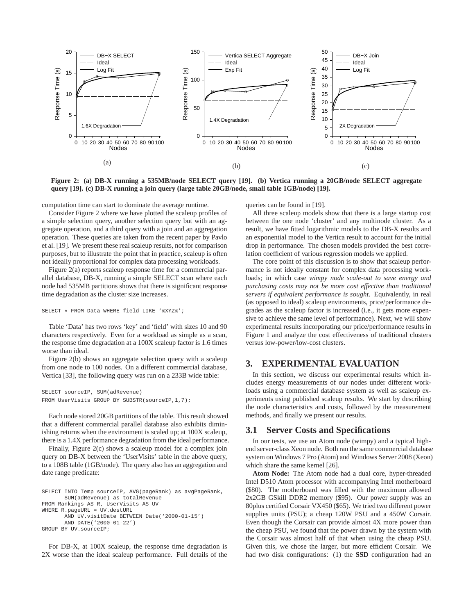

**Figure 2: (a) DB-X running a 535MB/node SELECT query [19]. (b) Vertica running a 20GB/node SELECT aggregate query [19]. (c) DB-X running a join query (large table 20GB/node, small table 1GB/node) [19].**

computation time can start to dominate the average runtime.

Consider Figure 2 where we have plotted the scaleup profiles of a simple selection query, another selection query but with an aggregate operation, and a third query with a join and an aggregation operation. These queries are taken from the recent paper by Pavlo et al. [19]. We present these real scaleup results, not for comparison purposes, but to illustrate the point that in practice, scaleup is often not ideally proportional for complex data processing workloads.

Figure 2(a) reports scaleup response time for a commercial parallel database, DB-X, running a simple SELECT scan where each node had 535MB partitions shows that there is significant response time degradation as the cluster size increases.

```
SELECT * FROM Data WHERE field LIKE '%XYZ%';
```
Table 'Data' has two rows 'key' and 'field' with sizes 10 and 90 characters respectively. Even for a workload as simple as a scan, the response time degradation at a 100X scaleup factor is 1.6 times worse than ideal.

Figure 2(b) shows an aggregate selection query with a scaleup from one node to 100 nodes. On a different commercial database, Vertica [33], the following query was run on a 233B wide table:

```
SELECT sourceIP, SUM(adRevenue)
FROM UserVisits GROUP BY SUBSTR(sourceIP,1,7);
```
Each node stored 20GB partitions of the table. This result showed that a different commercial parallel database also exhibits diminishing returns when the environment is scaled up; at 100X scaleup, there is a 1.4X performance degradation from the ideal performance.

Finally, Figure 2(c) shows a scaleup model for a complex join query on DB-X between the 'UserVisits' table in the above query, to a 108B table (1GB/node). The query also has an aggregation and date range predicate:

```
SELECT INTO Temp sourceIP, AVG(pageRank) as avgPageRank,
       SUM(adRevenue) as totalRevenue
FROM Rankings AS R, UserVisits AS UV
WHERE R.pageURL = UV.destURL
       AND UV.visitDate BETWEEN Date('2000-01-15')
       AND DATE('2000-01-22')
GROUP BY UV.sourceIP;
```
For DB-X, at 100X scaleup, the response time degradation is 2X worse than the ideal scaleup performance. Full details of the

queries can be found in [19].

All three scaleup models show that there is a large startup cost between the one node 'cluster' and any multinode cluster. As a result, we have fitted logarithmic models to the DB-X results and an exponential model to the Vertica result to account for the initial drop in performance. The chosen models provided the best correlation coefficient of various regression models we applied.

The core point of this discussion is to show that scaleup performance is not ideally constant for complex data processing workloads; in which case *wimpy node scale-out to save energy and purchasing costs may not be more cost effective than traditional servers if equivalent performance is sought*. Equivalently, in real (as opposed to ideal) scaleup environments, price/performance degrades as the scaleup factor is increased (i.e., it gets more expensive to achieve the same level of performance). Next, we will show experimental results incorporating our price/performance results in Figure 1 and analyze the cost effectiveness of traditional clusters versus low-power/low-cost clusters.

# **3. EXPERIMENTAL EVALUATION**

In this section, we discuss our experimental results which includes energy measurements of our nodes under different workloads using a commercial database system as well as scaleup experiments using published scaleup results. We start by describing the node characteristics and costs, followed by the measurement methods, and finally we present our results.

## **3.1 Server Costs and Specifications**

In our tests, we use an Atom node (wimpy) and a typical highend server-class Xeon node. Both ran the same commercial database system on Windows 7 Pro (Atom) and Windows Server 2008 (Xeon) which share the same kernel [26].

**Atom Node:** The Atom node had a dual core, hyper-threaded Intel D510 Atom processor with accompanying Intel motherboard (\$80). The motherboard was filled with the maximum allowed 2x2GB GSkill DDR2 memory (\$95). Our power supply was an 80plus certified Corsair VX450 (\$65). We tried two different power supplies units (PSU); a cheap 120W PSU and a 450W Corsair. Even though the Corsair can provide almost 4X more power than the cheap PSU, we found that the power drawn by the system with the Corsair was almost half of that when using the cheap PSU. Given this, we chose the larger, but more efficient Corsair. We had two disk configurations: (1) the **SSD** configuration had an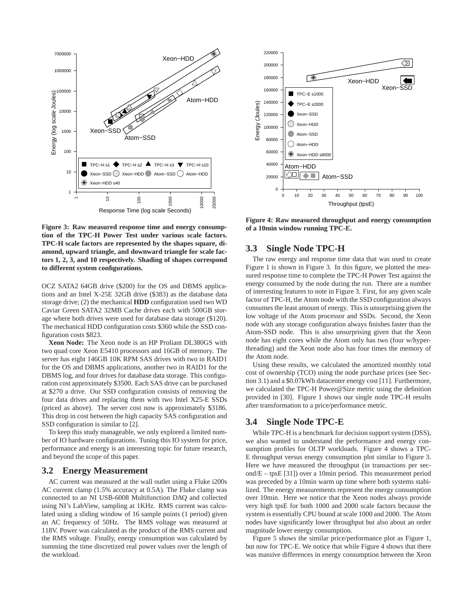

**Figure 3: Raw measured response time and energy consumption of the TPC-H Power Test under various scale factors. TPC-H scale factors are represented by the shapes square, diamond, upward triangle, and downward triangle for scale factors 1, 2, 3, and 10 respectively. Shading of shapes correspond to different system configurations.**

OCZ SATA2 64GB drive (\$200) for the OS and DBMS applications and an Intel X-25E 32GB drive (\$383) as the database data storage drive; (2) the mechanical **HDD** configuration used two WD Caviar Green SATA2 32MB Cache drives each with 500GB storage where both drives were used for database data storage (\$120). The mechanical HDD configuration costs \$360 while the SSD configuration costs \$823.

**Xeon Node:** The Xeon node is an HP Proliant DL380GS with two quad core Xeon E5410 processors and 16GB of memory. The server has eight 146GB 10K RPM SAS drives with two in RAID1 for the OS and DBMS applications, another two in RAID1 for the DBMS log, and four drives for database data storage. This configuration cost approximately \$3500. Each SAS drive can be purchased at \$270 a drive. Our SSD configuration consists of removing the four data drives and replacing them with two Intel X25-E SSDs (priced as above). The server cost now is approximately \$3186. This drop in cost between the high capacity SAS configuration and SSD configuration is similar to [2].

To keep this study manageable, we only explored a limited number of IO hardware configurations. Tuning this IO system for price, performance and energy is an interesting topic for future research, and beyond the scope of this paper.

#### **3.2 Energy Measurement**

AC current was measured at the wall outlet using a Fluke i200s AC current clamp (1.5% accuracy at 0.5A). The Fluke clamp was connected to an NI USB-6008 Multifunction DAQ and collected using NI's LabView, sampling at 1KHz. RMS current was calculated using a sliding window of 16 sample points (1 period) given an AC frequency of 50Hz. The RMS voltage was measured at 118V. Power was calculated as the product of the RMS current and the RMS voltage. Finally, energy consumption was calculated by summing the time discretized real power values over the length of the workload.



**Figure 4: Raw measured throughput and energy consumption of a 10min window running TPC-E.**

## **3.3 Single Node TPC-H**

The raw energy and response time data that was used to create Figure 1 is shown in Figure 3. In this figure, we plotted the measured response time to complete the TPC-H Power Test against the energy consumed by the node during the run. There are a number of interesting features to note in Figure 3. First, for any given scale factor of TPC-H, the Atom node with the SSD configuration always consumes the least amount of energy. This is unsurprising given the low voltage of the Atom processor and SSDs. Second, the Xeon node with any storage configuration always finishes faster than the Atom-SSD node. This is also unsurprising given that the Xeon node has eight cores while the Atom only has two (four w/hyperthreading) and the Xeon node also has four times the memory of the Atom node.

Using these results, we calculated the amortized monthly total cost of ownership (TCO) using the node purchase prices (see Section 3.1) and a \$0.07kWh datacenter energy cost [11]. Furthermore, we calculated the TPC-H Power@Size metric using the definition provided in [30]. Figure 1 shows our single node TPC-H results after transformation to a price/performance metric.

# **3.4 Single Node TPC-E**

While TPC-H is a benchmark for decision support system (DSS), we also wanted to understand the performance and energy consumption profiles for OLTP workloads. Figure 4 shows a TPC-E throughput versus energy consumption plot similar to Figure 3. Here we have measured the throughput (in transactions per second/E – tpsE [31]) over a 10min period. This measurement period was preceded by a 10min warm up time where both systems stabilized. The energy measurements represent the energy consumption over 10min. Here we notice that the Xeon nodes always provide very high tpsE for both 1000 and 2000 scale factors because the system is essentially CPU bound at scale 1000 and 2000. The Atom nodes have significantly lower throughput but also about an order magnitude lower energy consumption.

Figure 5 shows the similar price/performance plot as Figure 1, but now for TPC-E. We notice that while Figure 4 shows that there was massive differences in energy consumption between the Xeon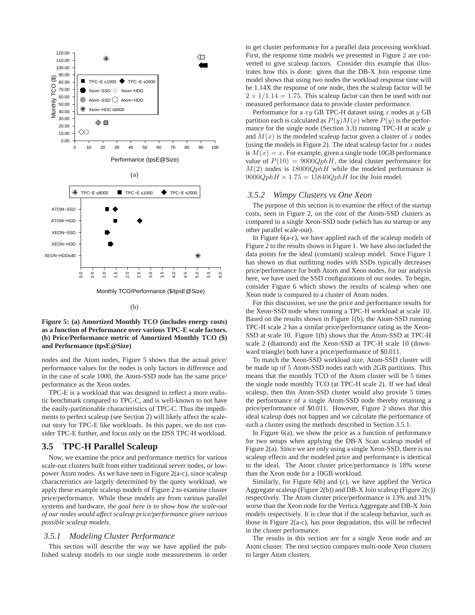

#### **Figure 5: (a) Amortized Monthly TCO (includes energy costs) as a function of Performance over various TPC-E scale factors. (b) Price/Performance metric of Amortized Monthly TCO (\$) and Performance (tpsE@Size)**

nodes and the Atom nodes, Figure 5 shows that the actual price/ performance values for the nodes is only factors in difference and in the case of scale 1000, the Atom-SSD node has the same price/ performance as the Xeon nodes.

TPC-E is a workload that was designed to reflect a more realistic benchmark compared to TPC-C, and is well-known to not have the easily-partitionable characteristics of TPC-C. Thus the impediments to perfect scaleup (see Section 2) will likely affect the scaleout story for TPC-E like workloads. In this paper, we do not consider TPC-E further, and focus only on the DSS TPC-H workload.

#### **3.5 TPC-H Parallel Scaleup**

Now, we examine the price and performance metrics for various scale-out clusters built from either traditional server nodes, or lowpower Atom nodes. As we have seen in Figure 2(a-c), since scaleup characteristics are largely determined by the query workload, we apply these example scaleup models of Figure 2 to examine cluster price/performance. While these models are from various parallel systems and hardware, *the goal here is to show how the scale-out of our nodes would affect scaleup price/performance given various possible scaleup models*.

# *3.5.1 Modeling Cluster Performance*

This section will describe the way we have applied the published scaleup models to our single node measurements in order to get cluster performance for a parallel data processing workload. First, the response time models we presented in Figure 2 are converted to give scaleup factors. Consider this example that illustrates how this is done: given that the DB-X Join response time model shows that using two nodes the workload response time will be 1.14X the response of one node, then the scaleup factor will be  $2 \times 1/1.14 = 1.75$ . This scaleup factor can then be used with our measured performance data to provide cluster performance.

Performance for a  $xy$  GB TPC-H dataset using x nodes at y GB partition each is calculated as  $P(y)M(x)$  where  $P(y)$  is the performance for the single node (Section 3.3) running TPC-H at scale  $y$ and  $M(x)$  is the modeled scaleup factor given a cluster of x nodes (using the models in Figure 2). The ideal scaleup factor for  $x$  nodes is  $M(x) = x$ . For example, given a single node 10GB performance value of  $P(10) = 9000QphH$ , the ideal cluster performance for  $M(2)$  nodes is 18000QphH while the modeled performance is  $9000QphH \times 1.75 = 15840QphH$  for the Join model.

#### *3.5.2 Wimpy Clusters vs One Xeon*

The purpose of this section is to examine the effect of the startup costs, seen in Figure 2, on the cost of the Atom-SSD clusters as compared to a single Xeon-SSD node (which has no startup or any other parallel scale-out).

In Figure 6(a-c), we have applied each of the scaleup models of Figure 2 to the results shown in Figure 1. We have also included the data points for the ideal (constant) scaleup model. Since Figure 1 has shown us that outfitting nodes with SSDs typically decreases price/performance for both Atom and Xeon nodes, for our analysis here, we have used the SSD configurations of our nodes. To begin, consider Figure 6 which shows the results of scaleup when one Xeon node is compared to a cluster of Atom nodes.

For this discussion, we use the price and performance results for the Xeon-SSD node when running a TPC-H workload at scale 10. Based on the results shown in Figure 1(b), the Atom-SSD running TPC-H scale 2 has a similar price/performance rating as the Xeon-SSD at scale 10. Figure 1(b) shows that the Atom-SSD at TPC-H scale 2 (diamond) and the Xeon-SSD at TPC-H scale 10 (downward triangle) both have a price/performance of \$0.011.

To match the Xeon-SSD workload size, Atom-SSD cluster will be made up of 5 Atom-SSD nodes each with 2GB partitions. This means that the monthly TCO of the Atom cluster will be 5 times the single node monthly TCO (at TPC-H scale 2). If we had ideal scaleup, then this Atom-SSD cluster would also provide 5 times the performance of a single Atom-SSD node thereby retaining a price/performance of \$0.011. However, Figure 2 shows that this ideal scaleup does not happen and we calculate the performance of such a cluster using the methods described in Section 3.5.1.

In Figure  $6(a)$ , we show the price as a function of performance for two setups when applying the DB-X Scan scaleup model of Figure 2(a). Since we are only using a single Xeon-SSD, there is no scaleup effects and the modeled price and performance is identical to the ideal. The Atom cluster price/performance is 18% worse than the Xeon node for a 10GB workload.

Similarly, for Figure 6(b) and (c), we have applied the Vertica Aggregate scaleup (Figure 2(b)) and DB-X Join scaleup (Figure 2(c)) respectively. The Atom cluster price/performance is 13% and 31% worse than the Xeon node for the Vertica Aggregate and DB-X Join models respectively. It is clear that if the scaleup behavior, such as those in Figure 2(a-c), has poor degradation, this will be reflected in the cluster performance.

The results in this section are for a single Xeon node and an Atom cluster. The next section compares multi-node Xeon clusters to larger Atom clusters.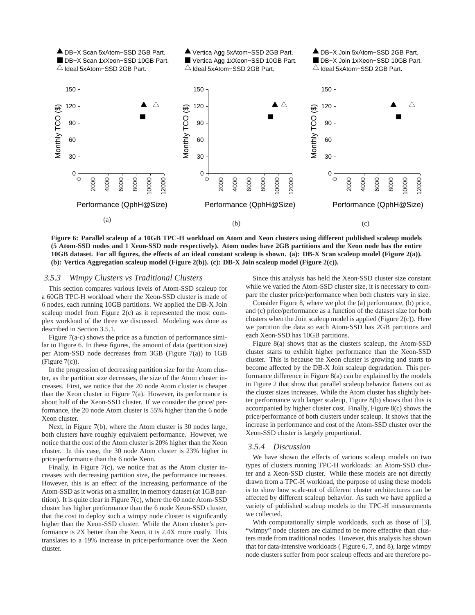

**Figure 6: Parallel scaleup of a 10GB TPC-H workload on Atom and Xeon clusters using different published scaleup models (5 Atom-SSD nodes and 1 Xeon-SSD node respectively). Atom nodes have 2GB partitions and the Xeon node has the entire 10GB dataset. For all figures, the effects of an ideal constant scaleup is shown. (a): DB-X Scan scaleup model (Figure 2(a)). (b): Vertica Aggregation scaleup model (Figure 2(b)). (c): DB-X Join scaleup model (Figure 2(c)).**

#### *3.5.3 Wimpy Clusters vs Traditional Clusters*

This section compares various levels of Atom-SSD scaleup for a 60GB TPC-H workload where the Xeon-SSD cluster is made of 6 nodes, each running 10GB partitions. We applied the DB-X Join scaleup model from Figure 2(c) as it represented the most complex workload of the three we discussed. Modeling was done as described in Section 3.5.1.

Figure 7(a-c) shows the price as a function of performance similar to Figure 6. In these figures, the amount of data (partition size) per Atom-SSD node decreases from 3GB (Figure 7(a)) to 1GB  $(Figure 7(c))$ .

In the progression of decreasing partition size for the Atom cluster, as the partition size decreases, the size of the Atom cluster increases. First, we notice that the 20 node Atom cluster is cheaper than the Xeon cluster in Figure 7(a). However, its performance is about half of the Xeon-SSD cluster. If we consider the price/ performance, the 20 node Atom cluster is 55% higher than the 6 node Xeon cluster.

Next, in Figure 7(b), where the Atom cluster is 30 nodes large, both clusters have roughly equivalent performance. However, we notice that the cost of the Atom cluster is 20% higher than the Xeon cluster. In this case, the 30 node Atom cluster is 23% higher in price/performance than the 6 node Xeon.

Finally, in Figure 7(c), we notice that as the Atom cluster increases with decreasing partition size, the performance increases. However, this is an effect of the increasing performance of the Atom-SSD as it works on a smaller, in memory dataset (at 1GB partition). It is quite clear in Figure 7(c), where the 60 node Atom-SSD cluster has higher performance than the 6 node Xeon-SSD cluster, that the cost to deploy such a wimpy node cluster is significantly higher than the Xeon-SSD cluster. While the Atom cluster's performance is 2X better than the Xeon, it is 2.4X more costly. This translates to a 19% increase in price/performance over the Xeon cluster.

Since this analysis has held the Xeon-SSD cluster size constant while we varied the Atom-SSD cluster size, it is necessary to compare the cluster price/performance when both clusters vary in size.

Consider Figure 8, where we plot the (a) performance, (b) price, and (c) price/performance as a function of the dataset size for both clusters when the Join scaleup model is applied (Figure 2(c)). Here we partition the data so each Atom-SSD has 2GB partitions and each Xeon-SSD has 10GB partitions.

Figure 8(a) shows that as the clusters scaleup, the Atom-SSD cluster starts to exhibit higher performance than the Xeon-SSD cluster. This is because the Xeon cluster is growing and starts to become affected by the DB-X Join scaleup degradation. This performance difference in Figure 8(a) can be explained by the models in Figure 2 that show that parallel scaleup behavior flattens out as the cluster sizes increases. While the Atom cluster has slightly better performance with larger scaleup, Figure 8(b) shows that this is accompanied by higher cluster cost. Finally, Figure 8(c) shows the price/performance of both clusters under scaleup. It shows that the increase in performance and cost of the Atom-SSD cluster over the Xeon-SSD cluster is largely proportional.

#### *3.5.4 Discussion*

We have shown the effects of various scaleup models on two types of clusters running TPC-H workloads: an Atom-SSD cluster and a Xeon-SSD cluster. While these models are not directly drawn from a TPC-H workload, the purpose of using these models is to show how scale-out of different cluster architectures can be affected by different scaleup behavior. As such we have applied a variety of published scaleup models to the TPC-H measurements we collected.

With computationally simple workloads, such as those of [3], "wimpy" node clusters are claimed to be more effective than clusters made from traditional nodes. However, this analysis has shown that for data-intensive workloads ( Figure 6, 7, and 8), large wimpy node clusters suffer from poor scaleup effects and are therefore po-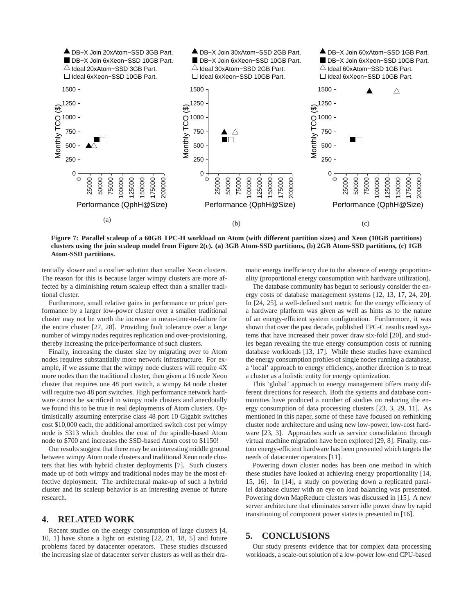

**Figure 7: Parallel scaleup of a 60GB TPC-H workload on Atom (with different partition sizes) and Xeon (10GB partitions) clusters using the join scaleup model from Figure 2(c). (a) 3GB Atom-SSD partitions, (b) 2GB Atom-SSD partitions, (c) 1GB Atom-SSD partitions.**

tentially slower and a costlier solution than smaller Xeon clusters. The reason for this is because larger wimpy clusters are more affected by a diminishing return scaleup effect than a smaller traditional cluster.

Furthermore, small relative gains in performance or price/ performance by a larger low-power cluster over a smaller traditional cluster may not be worth the increase in mean-time-to-failure for the entire cluster [27, 28]. Providing fault tolerance over a large number of wimpy nodes requires replication and over-provisioning, thereby increasing the price/performance of such clusters.

Finally, increasing the cluster size by migrating over to Atom nodes requires substantially more network infrastructure. For example, if we assume that the wimpy node clusters will require 4X more nodes than the traditional cluster, then given a 16 node Xeon cluster that requires one 48 port switch, a wimpy 64 node cluster will require two 48 port switches. High performance network hardware cannot be sacrificed in wimpy node clusters and anecdotally we found this to be true in real deployments of Atom clusters. Optimistically assuming enterprise class 48 port 10 Gigabit switches cost \$10,000 each, the additional amortized switch cost per wimpy node is \$313 which doubles the cost of the spindle-based Atom node to \$700 and increases the SSD-based Atom cost to \$1150!

Our results suggest that there may be an interesting middle ground between wimpy Atom node clusters and traditional Xeon node clusters that lies with hybrid cluster deployments [7]. Such clusters made up of both wimpy and traditional nodes may be the most effective deployment. The architectural make-up of such a hybrid cluster and its scaleup behavior is an interesting avenue of future research.

## **4. RELATED WORK**

Recent studies on the energy consumption of large clusters [4, 10, 1] have shone a light on existing [22, 21, 18, 5] and future problems faced by datacenter operators. These studies discussed the increasing size of datacenter server clusters as well as their dramatic energy inefficiency due to the absence of energy proportionality (proportional energy consumption with hardware utilization).

The database community has begun to seriously consider the energy costs of database management systems [12, 13, 17, 24, 20]. In [24, 25], a well-defined sort metric for the energy efficiency of a hardware platform was given as well as hints as to the nature of an energy-efficient system configuration. Furthermore, it was shown that over the past decade, published TPC-C results used systems that have increased their power draw six-fold [20], and studies began revealing the true energy consumption costs of running database workloads [13, 17]. While these studies have examined the energy consumption profiles of single nodes running a database, a 'local' approach to energy efficiency, another direction is to treat a cluster as a holistic entity for energy optimization.

This 'global' approach to energy management offers many different directions for research. Both the systems and database communities have produced a number of studies on reducing the energy consumption of data processing clusters [23, 3, 29, 11]. As mentioned in this paper, some of these have focused on rethinking cluster node architecture and using new low-power, low-cost hardware [23, 3]. Approaches such as service consolidation through virtual machine migration have been explored [29, 8]. Finally, custom energy-efficient hardware has been presented which targets the needs of datacenter operators [11].

Powering down cluster nodes has been one method in which these studies have looked at achieving energy proportionality [14, 15, 16]. In [14], a study on powering down a replicated parallel database cluster with an eye on load balancing was presented. Powering down MapReduce clusters was discussed in [15]. A new server architecture that eliminates server idle power draw by rapid transitioning of component power states is presented in [16].

## **5. CONCLUSIONS**

Our study presents evidence that for complex data processing workloads, a scale-out solution of a low-power low-end CPU-based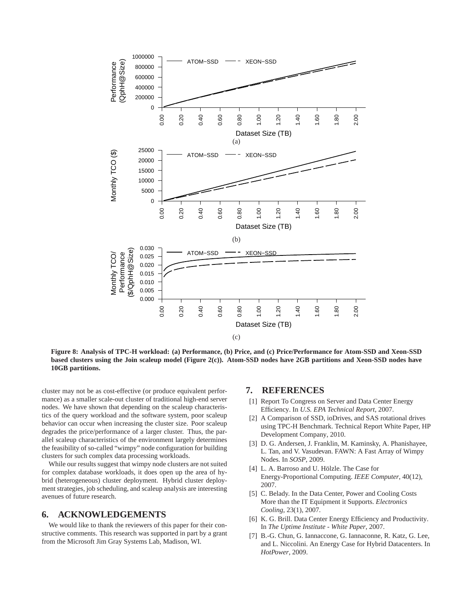

**Figure 8: Analysis of TPC-H workload: (a) Performance, (b) Price, and (c) Price/Performance for Atom-SSD and Xeon-SSD based clusters using the Join scaleup model (Figure 2(c)). Atom-SSD nodes have 2GB partitions and Xeon-SSD nodes have 10GB partitions.**

cluster may not be as cost-effective (or produce equivalent performance) as a smaller scale-out cluster of traditional high-end server nodes. We have shown that depending on the scaleup characteristics of the query workload and the software system, poor scaleup behavior can occur when increasing the cluster size. Poor scaleup degrades the price/performance of a larger cluster. Thus, the parallel scaleup characteristics of the environment largely determines the feasibility of so-called "wimpy" node configuration for building clusters for such complex data processing workloads.

While our results suggest that wimpy node clusters are not suited for complex database workloads, it does open up the area of hybrid (heterogeneous) cluster deployment. Hybrid cluster deployment strategies, job scheduling, and scaleup analysis are interesting avenues of future research.

### **6. ACKNOWLEDGEMENTS**

We would like to thank the reviewers of this paper for their constructive comments. This research was supported in part by a grant from the Microsoft Jim Gray Systems Lab, Madison, WI.

# **7. REFERENCES**

- [1] Report To Congress on Server and Data Center Energy Efficiency. In *U.S. EPA Technical Report*, 2007.
- [2] A Comparison of SSD, ioDrives, and SAS rotational drives using TPC-H Benchmark. Technical Report White Paper, HP Development Company, 2010.
- [3] D. G. Andersen, J. Franklin, M. Kaminsky, A. Phanishayee, L. Tan, and V. Vasudevan. FAWN: A Fast Array of Wimpy Nodes. In *SOSP*, 2009.
- [4] L. A. Barroso and U. Hölzle. The Case for Energy-Proportional Computing. *IEEE Computer*, 40(12), 2007.
- [5] C. Belady. In the Data Center, Power and Cooling Costs More than the IT Equipment it Supports. *Electronics Cooling*, 23(1), 2007.
- [6] K. G. Brill. Data Center Energy Efficiency and Productivity. In *The Uptime Institute - White Paper*, 2007.
- [7] B.-G. Chun, G. Iannaccone, G. Iannaconne, R. Katz, G. Lee, and L. Niccolini. An Energy Case for Hybrid Datacenters. In *HotPower*, 2009.